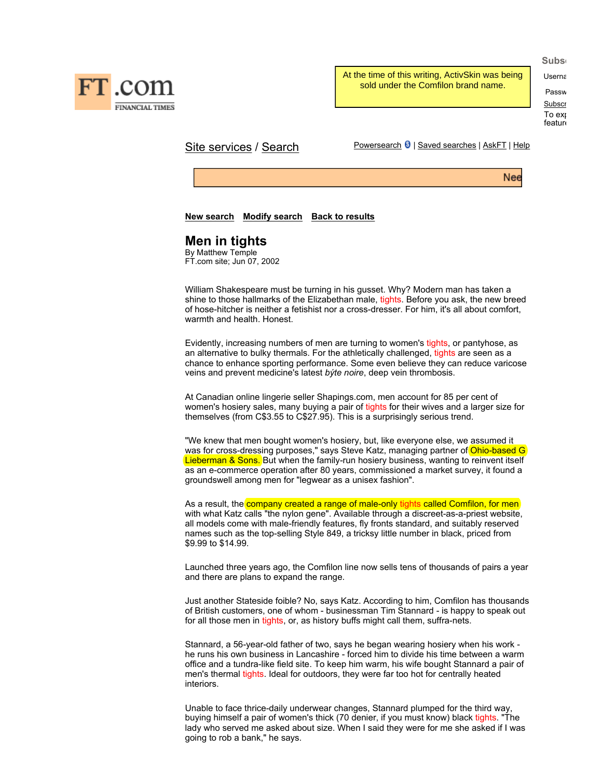

FT com **FINANCIAL TIMES**  At the time of this writing, ActivSkin was being sold under the Comfilon brand name.

Passw **Subscr** To exp feature

Site services / Search Powersearch 8 | Saved searches | AskFT | Help

Nee

## **New search Modify search Back to results**

# **Men in tights**

By Matthew Temple FT.com site; Jun 07, 2002

William Shakespeare must be turning in his gusset. Why? Modern man has taken a shine to those hallmarks of the Elizabethan male, tights. Before you ask, the new breed of hose-hitcher is neither a fetishist nor a cross-dresser. For him, it's all about comfort, warmth and health. Honest.

Evidently, increasing numbers of men are turning to women's tights, or pantyhose, as an alternative to bulky thermals. For the athletically challenged, tights are seen as a chance to enhance sporting performance. Some even believe they can reduce varicose veins and prevent medicine's latest *býte noire*, deep vein thrombosis.

At Canadian online lingerie seller Shapings.com, men account for 85 per cent of women's hosiery sales, many buying a pair of tights for their wives and a larger size for themselves (from C\$3.55 to C\$27.95). This is a surprisingly serious trend.

"We knew that men bought women's hosiery, but, like everyone else, we assumed it was for cross-dressing purposes," says Steve Katz, managing partner of Ohio-based G Lieberman & Sons. But when the family-run hosiery business, wanting to reinvent itself as an e-commerce operation after 80 years, commissioned a market survey, it found a groundswell among men for "legwear as a unisex fashion".

As a result, the company created a range of male-only tights called Comfilon, for men with what Katz calls "the nylon gene". Available through a discreet-as-a-priest website, all models come with male-friendly features, fly fronts standard, and suitably reserved names such as the top-selling Style 849, a tricksy little number in black, priced from \$9.99 to \$14.99.

Launched three years ago, the Comfilon line now sells tens of thousands of pairs a year and there are plans to expand the range.

Just another Stateside foible? No, says Katz. According to him, Comfilon has thousands of British customers, one of whom - businessman Tim Stannard - is happy to speak out for all those men in tights, or, as history buffs might call them, suffra-nets.

Stannard, a 56-year-old father of two, says he began wearing hosiery when his work he runs his own business in Lancashire - forced him to divide his time between a warm office and a tundra-like field site. To keep him warm, his wife bought Stannard a pair of men's thermal tights. Ideal for outdoors, they were far too hot for centrally heated interiors.

Unable to face thrice-daily underwear changes, Stannard plumped for the third way, buying himself a pair of women's thick (70 denier, if you must know) black tights. "The lady who served me asked about size. When I said they were for me she asked if I was going to rob a bank," he says.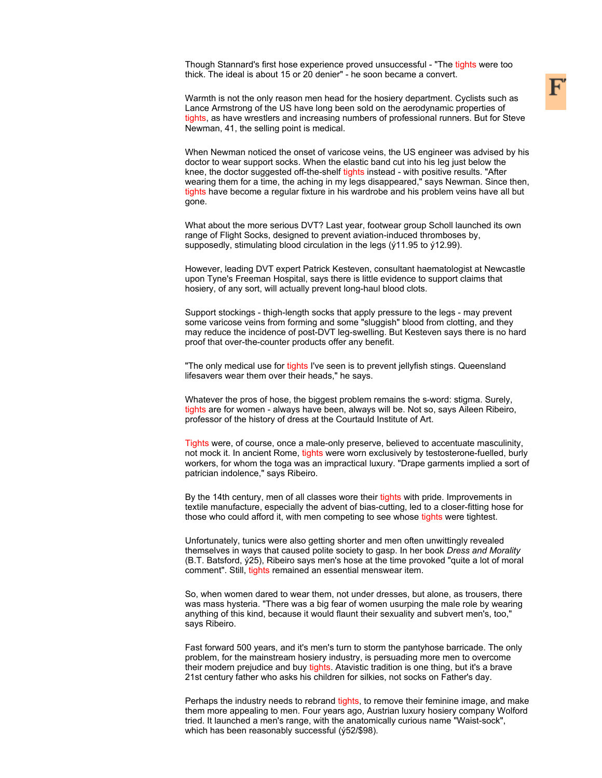Though Stannard's first hose experience proved unsuccessful - "The tights were too thick. The ideal is about 15 or 20 denier" - he soon became a convert.

Warmth is not the only reason men head for the hosiery department. Cyclists such as Lance Armstrong of the US have long been sold on the aerodynamic properties of tights, as have wrestlers and increasing numbers of professional runners. But for Steve Newman, 41, the selling point is medical.

When Newman noticed the onset of varicose veins, the US engineer was advised by his doctor to wear support socks. When the elastic band cut into his leg just below the knee, the doctor suggested off-the-shelf tights instead - with positive results. "After wearing them for a time, the aching in my legs disappeared," says Newman. Since then, tights have become a regular fixture in his wardrobe and his problem veins have all but gone.

What about the more serious DVT? Last year, footwear group Scholl launched its own range of Flight Socks, designed to prevent aviation-induced thromboses by, supposedly, stimulating blood circulation in the legs (ý11.95 to ý12.99).

However, leading DVT expert Patrick Kesteven, consultant haematologist at Newcastle upon Tyne's Freeman Hospital, says there is little evidence to support claims that hosiery, of any sort, will actually prevent long-haul blood clots.

Support stockings - thigh-length socks that apply pressure to the legs - may prevent some varicose veins from forming and some "sluggish" blood from clotting, and they may reduce the incidence of post-DVT leg-swelling. But Kesteven says there is no hard proof that over-the-counter products offer any benefit.

"The only medical use for tights I've seen is to prevent jellyfish stings. Queensland lifesavers wear them over their heads," he says.

Whatever the pros of hose, the biggest problem remains the s-word: stigma. Surely, tights are for women - always have been, always will be. Not so, says Aileen Ribeiro, professor of the history of dress at the Courtauld Institute of Art.

Tights were, of course, once a male-only preserve, believed to accentuate masculinity, not mock it. In ancient Rome, tights were worn exclusively by testosterone-fuelled, burly workers, for whom the toga was an impractical luxury. "Drape garments implied a sort of patrician indolence," says Ribeiro.

By the 14th century, men of all classes wore their tights with pride. Improvements in textile manufacture, especially the advent of bias-cutting, led to a closer-fitting hose for those who could afford it, with men competing to see whose tights were tightest.

Unfortunately, tunics were also getting shorter and men often unwittingly revealed themselves in ways that caused polite society to gasp. In her book *Dress and Morality* (B.T. Batsford, ý25), Ribeiro says men's hose at the time provoked "quite a lot of moral comment". Still, tights remained an essential menswear item.

So, when women dared to wear them, not under dresses, but alone, as trousers, there was mass hysteria. "There was a big fear of women usurping the male role by wearing anything of this kind, because it would flaunt their sexuality and subvert men's, too," says Ribeiro.

Fast forward 500 years, and it's men's turn to storm the pantyhose barricade. The only problem, for the mainstream hosiery industry, is persuading more men to overcome their modern prejudice and buy tights. Atavistic tradition is one thing, but it's a brave 21st century father who asks his children for silkies, not socks on Father's day.

Perhaps the industry needs to rebrand tights, to remove their feminine image, and make them more appealing to men. Four years ago, Austrian luxury hosiery company Wolford tried. It launched a men's range, with the anatomically curious name "Waist-sock", which has been reasonably successful (ý52/\$98).